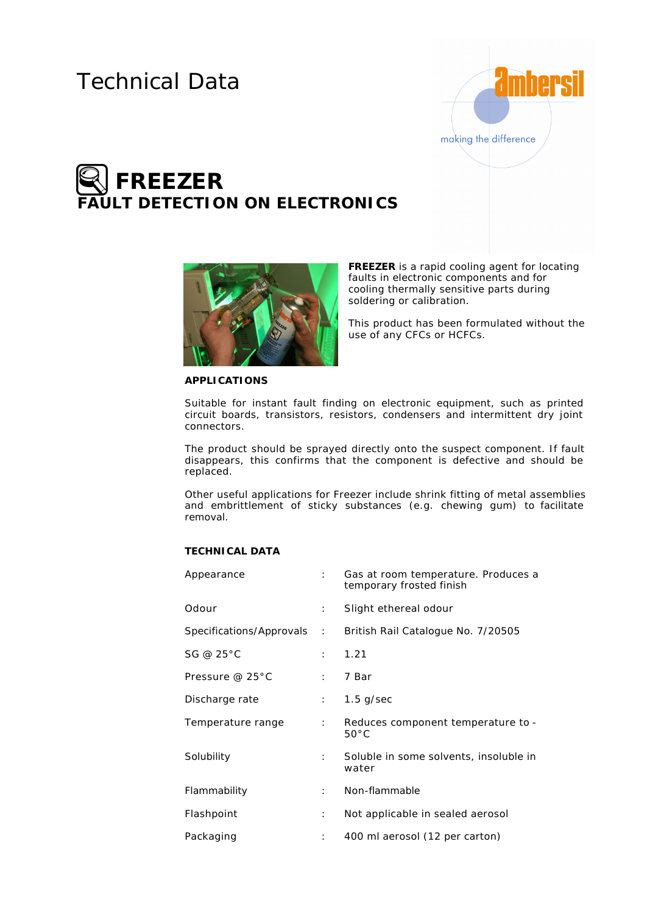## Technical Data



# **FREEZER LT DETECTION ON ELECTRONICS**



**FREEZER** is a rapid cooling agent for locating faults in electronic components and for cooling thermally sensitive parts during soldering or calibration.

This product has been formulated without the use of any CFCs or HCFCs.

#### **APPLICATIONS**

Suitable for instant fault finding on electronic equipment, such as printed circuit boards, transistors, resistors, condensers and intermittent dry joint connectors.

The product should be sprayed directly onto the suspect component. If fault disappears, this confirms that the component is defective and should be replaced.

Other useful applications for Freezer include shrink fitting of metal assemblies and embrittlement of sticky substances (e.g. chewing gum) to facilitate removal.

### **TECHNICAL DATA**

| Appearance        |                      | Gas at room temperature. Produces a<br>temporary frosted finish |
|-------------------|----------------------|-----------------------------------------------------------------|
| Odour             | $\mathcal{L}$        | Slight ethereal odour                                           |
|                   |                      | Specifications/Approvals: British Rail Catalogue No. 7/20505    |
| SG @ 25°C         | $\mathbb{R}^{n}$     | 1.21                                                            |
| Pressure @ 25°C   | the con-             | 7 Bar                                                           |
| Discharge rate    | $1 - 1$              | $1.5$ g/sec                                                     |
| Temperature range | $\mathbb{R}^{n}$     | Reduces component temperature to -<br>$50^{\circ}$ C            |
| Solubility        | $\mathbf{r}$         | Soluble in some solvents, insoluble in<br>water                 |
| Flammability      | $\mathbb{R}^{n}$     | Non-flammable                                                   |
| Flashpoint        | $\ddot{\phantom{0}}$ | Not applicable in sealed aerosol                                |
| Packaging         | $\ddot{\phantom{0}}$ | 400 ml aerosol (12 per carton)                                  |